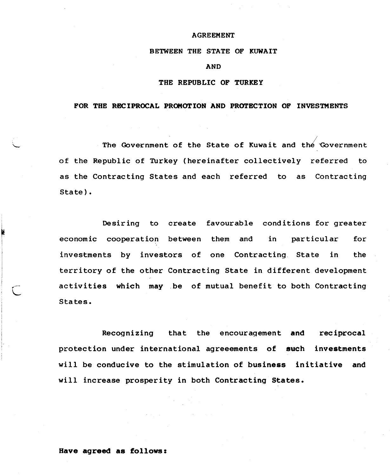#### AGREEMENT

## BETWEEN THE STATE OF KUWAIT

#### AND

## THE REPUBLIC OF TURKEY

#### FOR THE RECIPROCAL PROMOTION AND PROTECTION OF INVESTMENTS

The Government of the State of Kuwait and the Government of the Republic of TUrkey (hereinafter collectively referred to as the Contracting States and each referred to as Contracting State).

Desiring to create favourable conditions for greater economic cooperation between them and in particular for investments by investors of one Contracting State in the territory of the other Contracting State in different development activities which may be of mutual benefit to both Contracting States.

Recognizing that the encouragement and reciprocal protection under international agreeements of such investments will be conducive to the stimulation of business initiative and will increase prosperity in both Contracting States.

#### Have agreed as follows: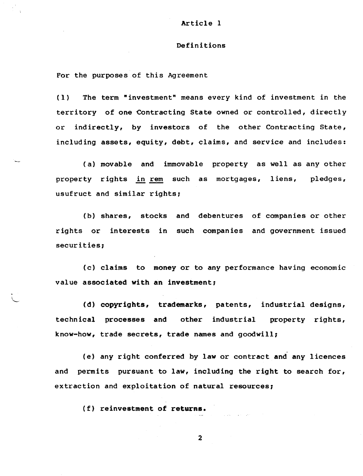#### Definitions

For the purposes of this Agreement

(1) The term "investment" means every kind of investment in the territory of one Contracting State owned or controlled, directly or indirectly, by investors of the other Contracting State, including assets, equity, debt, claims, and service and includes:

(a) movable and immovable property as well as any other property rights in rem such as mortgages, liens, pledges, usufruct and similar rights;

(b) shares, stocks and debentures of companies or other rights or interests in such companies and government issued securities;

(c) claims to money or to any performance having economic value associated with an investment,

(d) copyrights, trademarks, patents, industrial designs, technical processes and other industrial property rights, know-how, trade secrets, trade names and goodwill,

Ce) any right conferred by law or contract and any licences and permits pursuant to law, including the right to search for, extraction and exploitation of natural resources;

(f) reinvestment of returns.

2

 $\hat{\mathcal{L}}_{\text{max}}$  and  $\hat{\mathcal{L}}_{\text{max}}$  are  $\hat{\mathcal{L}}_{\text{max}}$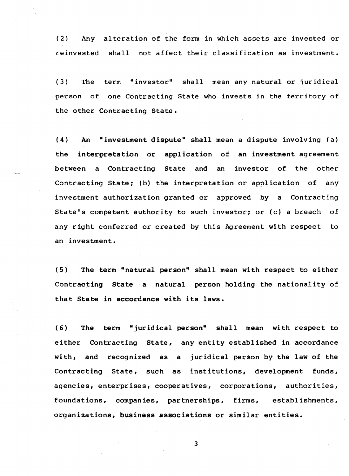(2) Any alteration of the form in which assets are invested or reinvested shall not affect their classification as investment.

(3) The term "investor" shall mean any natural or juridical person of one Contracting State who invests in the territory of the other Contracting State.

(4) An "investment dispute" shall mean a dispute involving (a) the interpretation or application of an investment agreement between a £ontracting State and an investor of the other Contracting State; (b) the interpretation or application of any investment authorization granted or approved by a Contracting State's competent authority to such investor; or (c) a breach of any right conferred or created by this Agreement with respect to an investment.

(5) The term "natural person" shall mean with respect to either Contracting State a natural person holding the nationality of that State in accordance with its laws.

(6) The term "juridical person" shall mean with respect to either Contracting State, any entity established in accordance with, and recognized as a juridical person by the law of the Contracting State, such as institutions, development funds, agencies, enterprises, cooperatives, corporations, authorities, foundations, companies, partnerships, firms, establishments, organizations, business associations or similar entities.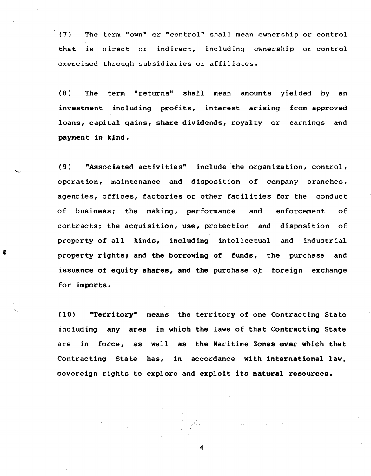(7) The term "own" or "control" shall mean ownership or control that is direct or indirect, including ownership or control exercised through subsidiaries or affiliates.

(8) The term "returns" shall mean amounts yielded by an investment including profits, interest arising from approved loans, capital gains, share dividends, royalty or earnings and payment in kind.

(9) "Associated activities" include the organization, control, operation, maintenance and disposition of company branches, agencies, offices, factories or other facilities for the conduct of business; the making, performance and enforcement of contracts; the acquisition, use, protection and disposition of property of all kinds, including intellectual and industrial property rights, and the borrowing of funds, the purchase and issuance of equity shares, and the purchase of foreign exchange for imports.

(10) "Territory" means the territory of one Contracting State including any area in which the laws of that Contracting State are in force, as well as the Maritime Zones over which that Contracting State has, in accordance with international law, sovereign rights to explore and exploit its natural resources.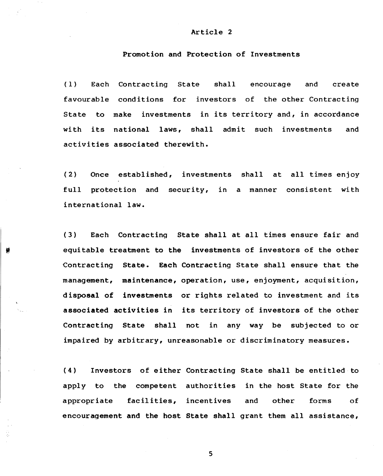## Promotion and Protection of Investments

(1) Each Contracting State shall encourage and create favourable conditions for investors of the other Contracting State to make investments in its territory and, in accordance with its national laws, shall admit such investments and activities associated therewith.

(2) Once established, investments shall at all times enjoy full protection and security, in a manner consistent with international law.

(3) Each Contracting State shall at all times ensure fair and equitable treatment to the investments of investors of the other Contracting State. Each Contracting State shall ensure that the management, maintenance, operation, use, enjoyment, acquisition, disposal of investments or rights related to investment and its associated activities in its territory of investors of the other Contracting State shall not in any way be subjected to or impaired by arbitrary, unreasonable or discriminatory measures.

甇

(4) Investors of either Contracting State shall be entitled to apply to the competent authorities in the host State for the appropriate facilities, incentives and other forms of encouragement and the host State shall grant them all assistance,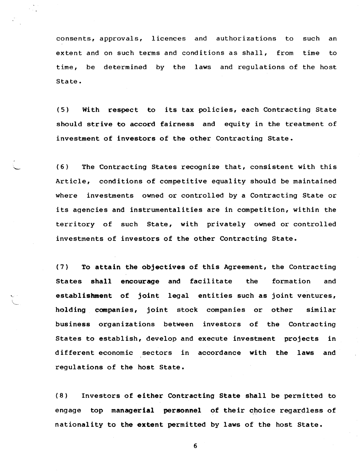consents, approvals, licences and authorizations to such an extent and on such terms and conditions as shall, from time to time, be determined by the laws and regulations of the host State.

(5) With respect to its tax policies, each Contracting State should strive to accord fairness and equity in the treatment of investment of investors of the other Contracting State.

(6) The Contracting States recognize that, consistent with this Article, conditions of competitive equality should be maintained where investments owned or controlled by a Contracting State or its agencies and instrumentalities are in competition, within the territory of such State, with privately owned or controlled investments of investors of the other Contracting State.

(7) To attain the objectives of this Agreement, the Contracting States shall encourage and facilitate the formation and establishment of joint legal entities such as joint ventures, holding companies, joint stock companies or other similar business organizations between investors of the Contracting States to establish, develop and execute investment projects in different economic sectors in accordance with the laws and regulations of the host State.

(8) Investors of either Contracting State shall be permitted to engage top managerial personnel of their choice regardless of nationality to the extent permitted by laws of the host State.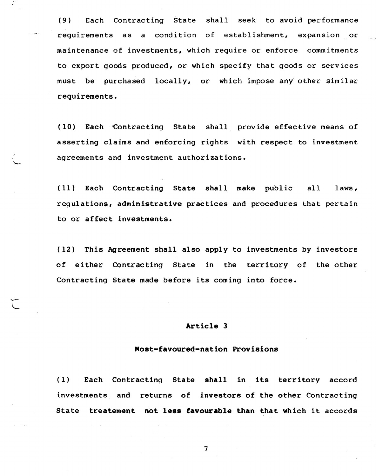(9) Each Contracting State shall seek to avoid performance requirements as a condition of establishment, expansion or maintenance of investments, which require or enforce commitments to export goods produced, or which specify that goods or services must be purchased locally, or which impose any other similar requirements.

(10) Each Contracting State shall provide effective means of asserting claims and enforcing rights with respect to investment agreements and investment authorizations.

(11) Each Contracting State shall make public all laws, regulations, administrative practices and procedures that pertain to or affect investments.

(12) This Agreement shall also apply to investments by investors of either Contracting State in the territory of the other Contracting State made before its coming into force.

## Article 3

# Most-favoured-nation Provisions

(1) Each Contracting State shall in its territory accord investments and returns of investors of the other Contracting State treatement not less favourable than that which it accords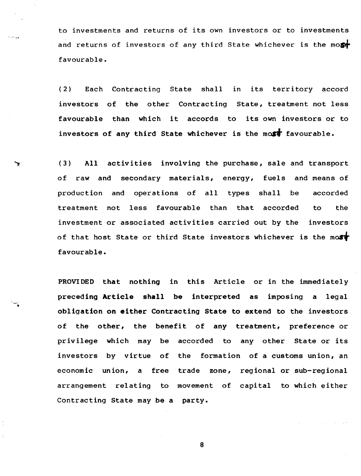to investments and returns of its own investors or to investments and returns of investors of any third State whichever is the most favourable.

(2) Each Contracting State shall in its territory accord investors of the other Contracting State, treatment not less favourable than which it accords to its own investors or to investors of any third State whichever is the most favourable.

(3) All activities involving the purchase, sale and transport of raw and secondary materials, energy, fuels and means of production and operations of all types shall be accorded treatment not less favourable than that accorded to the investment or associated activities carried out by the investors of that host State or third State investors whichever is the most favourable.

PROVIDED that nothing in this Article or in the immediately preceding Article shall be interpreted as imposing a legal obligation on either Contracting State to extend to the investors of the other, the benefit of any treatment, preference or privilege which may be accorded to any other State or its investors by virtue of the formation of a customs union, an economic union, a free trade zone, regional or sub-regional arrangement relating to movement of capital to which either Contracting State may be a party.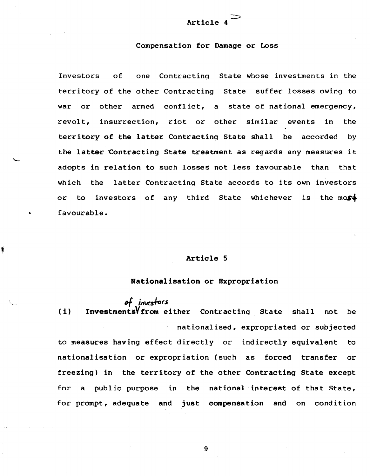## Compensation for Damage or Loss

Investors of one Contracting State whose investments in the territory of the other Contracting State suffer losses owing to war or other armed conflict, a state of national emergency, revolt, insurrection, riot or other similar events in the territory of the latter Contracting State shall be accorded by the latter Contracting State treatment as regards any measures it adopts in relation to such losses not less favourable than that which the latter Contracting State accords to its own investors or to investors of any third State whichever is the most • favourable.

## Article 5

 $\frac{1}{2}$ 

## Nationalisation or Expropriation

of *investors* (i) InvestmentsVfrom either Contracting State shall not be nationalised, expropriated or subjected to measures having effect directly or indirectly equivalent to nationalisation or expropriation (such as forced transfer or freezing) in the territory of the other Contracting State except for a public purpose in the national interest of that State, for prompt, adequate and just compensation and on condition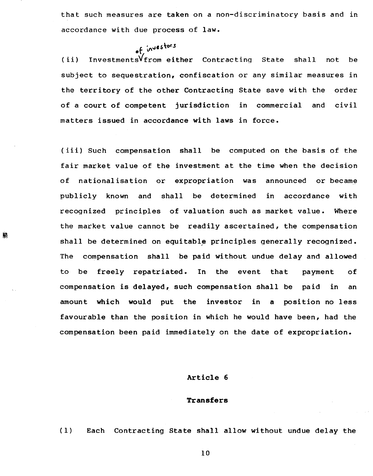that such measures are taken on a non-discriminatory basis and in accordance with due process of law.

of investors

R3

(ii) Investments  $V$  from either Contracting State shall not be subject to sequestration, confiscation or any similar measures in the territory of the other Contracting State save with the order of a court of competent jurisdiction in commercial and civil matters issued in accordance with laws in force.

(iii) Such compensation shall be computed on the basis of the fair market value of the investment at the time when the decision of nationalisation or expropriation was announced or became publicly known and shall be determined in accordance with recognized principles of valuation such as market value. Where the market value cannot be readily ascertained, the compensation shall be determined on equitable principles generally recognized. The compensation shall be paid without undue delay and allowed to be freely repatriated. In the event that payment of compensation is delayed, such compensation shall be paid in an amount which would put the investor in a position no less favourable than the position in which he would have been, had the compensation been paid immediately on the date of expropriation.

#### Article 6

#### **Transfers**

(1) Each Contracting State shall allow without undue delay the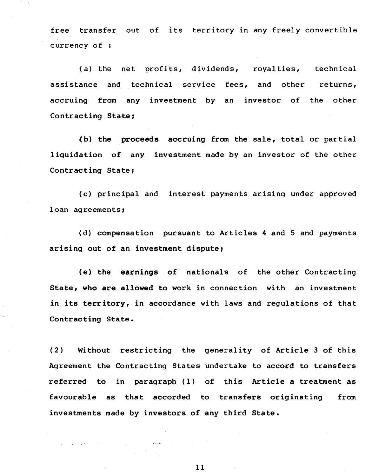free transfer out of its territory in any freely convertible currency of :

(a) the net profits, dividends, royalties, technical assistance and technical service fees, and other returns, accruing from any investment by an investor of the other Contracting State;

~b) the proceeds accruing from the sale, total or partial liquidation of any investment made by an investor of the other Contracting State:

(c) principal and interest payments arising under approved loan agreements;

(d) compensation pursuant to Articles 4 and 5 and payments arising out of an investment dispute;

(e) the earnings of nationals of the other Contracting State, who are allowed to work in connection with an investment in its territory, in accordance with laws and regulations of that Contracting State.

(2) Without restricting the generality of Article 3 of this Agreement the Contracting States undertake to accord to transfers referred to in paragraph (1) of this Article a treatment as favourable as that accorded to transfers originating investments made by investors of any third State. from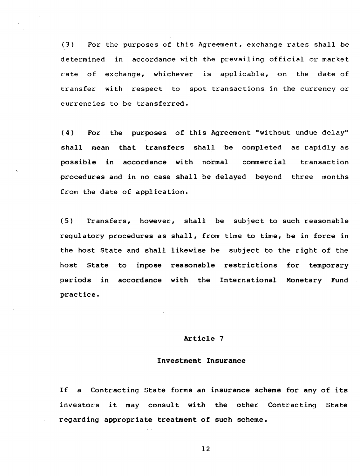(3) For the purposes of this Aqreement, exchange rates shall be determined in accordance with the prevailing official or market rate of exchange, whichever is applicable, on the date of transfer with respect to spot transactions in the currency or currencies to be transferred.

( 4 ) For the purposes of this Agreement "without undue delay" shall mean that transfers shall be completed as rapidly as possible in accordance with normal commercial transaction procedures and in no case shall be delayed beyond three months from the date of application.

(5) Transfers, however, shall be subject to such reasonable regulatory procedures as shall, from time to time, be in force in the host State and shall likewise be subject to the right of the host State periods in accordance with the International practice. to impose reasonable restrictions for temporary Monetary Fund

#### Article 7

#### Investment Insurance

If a Contracting State forms an insurance scheme for any of its investors it may consult with the other Contracting State regard ing appropriate treatment of such scheme.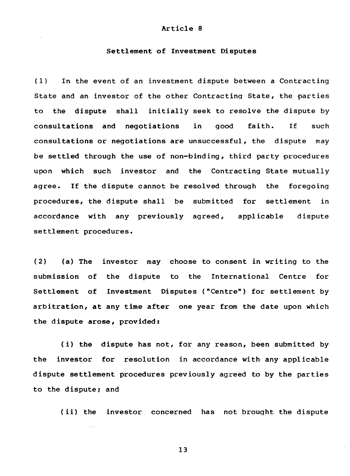## Settlement of Investment Disputes

(1) In the event of an investment dispute between a Contracting State and an investor of the other Contracting State, the parties to the dispute shall initially seek to resolve the dispute by consultations and negotiations in good faith. If such consultations or negotiations are unsuccessful, the dispute may be settled through the use of non-binding, third party procedures upon which such investor and the Contracting State mutually agree. If the dispute cannot be resolved through the foregoing procedures, the dispute shall be submitted for settlement in accordance with any previously agreed, applicable dispute settlement procedures.

(2) (a) The investor may choose to consent in writing to the submission of the dispute to the International Centre for Settlement of Investment Disputes ("Centre") for settlement by arbitration, at any time after one year from the date upon which the dispute arose, provided:

(i) the dispute has not, for any reason, been submitted by the investor for resolution in accordance with any applicable dispute settlement procedures previously agreed to by the parties to the dispute; and

(ii) the investor concerned has not brought the dispute المحراب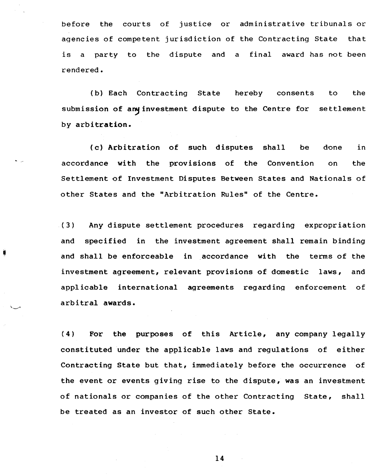before the courts of justice or administrative tribunals or agencies of competent jurisdiction of the Contracting State that is a party to the dispute and a final award has not been rendered.

(b) Each Contracting State hereby consents to the submission of any investment dispute to the Centre for settlement by arbitration.

(c) Arbitration of such disputes shall be done in accordance with the provisions of the Convention on the Settlement of Investment Disputes Between States and Nationals of other States and the "Arbitration Rules" of the Centre.

(3) Any dispute settlement procedures regarding expropriation and specified in the investment agreement shall remain binding and shall be enforceable in accordance with the terms of the investment agreement, relevant provisions of domestic laws, and applicable international agreements regarding enforcement of arbitral awards.

(4) For the purposes of this Article, any company legally constituted under the applicable laws and regulations of either Contracting State but that, immediately before the occurrence of the event or events giving rise to the dispute, was an investment of nationals or companies of the other Contracting State, shall be treated as an investor of such other State.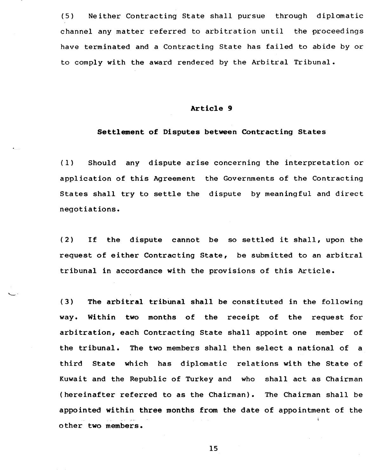(5) Neither Contracting State shall pursue through diplomatic channel any matter referred to arbitration until the proceedings have terminated and a Contracting State has failed to abide by or to comply with the award rendered by the Arbitral Tribunal.

## Article 9

#### Settlement of Disputes between Contracting States

(1) Should any dispute arise concerning the interpretation or application of this Agreement the Governments of the Contracting States shall try to settle the dispute by meaningful and direct negotiations.

(2) If the dispute cannot be so settled it shall, upon the request of either Contracting State, be submitted to an arbitral tribunal in accordance with the provisions of this Article.

(3) The arbitral tribunal shall be constituted in the following way. Within two months of the receipt of the request for arbitration, each Contracting State shall appoint one member of the tribunal. The two members shall then select a national of a third State which has diplomatic relations with the State of Kuwait and the Republic of Turkey and who shall act as Chairman (hereinafter referred to as the Chairman). The Chairman shall be appointed within three months from the date of appointment of the other two members.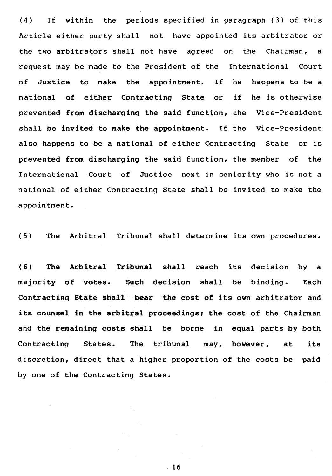$(4)$  If within the periods specified in paragraph  $(3)$  of this Article either party shall not have appointed its arbitrator or the two arbitrators shall not have agreed on the Chairman, a request may be made to the President of the international Court of Justice to make the appointment. If he happens to be a national of either Contracting State or if he is otherwise prevented from discharging the said function, the Vice-President shall be invited to make the appointment. If the Vice-President also happens to be a national of either Contracting State or is prevented from discharging the said function, the member of the International Court of Justice next in seniority who is not a national of either Contracting State shall be invited to make the appointment.

(5) The Arbitral Tribunal shall determine its own procedures.

(6) The Arbitral Tribunal shall reach its decision by a majority of votes. Such decision shall be binding. Each Contracting State shall .bear the cost of its own arbitrator and its counsel in the arbitral proceedings, the cost of the Chairman and the remaining costs shall be borne in equal parts by both Contracting States. The tribunal may, however, at its discretion, direct that a higher proportion of the costs be paid by one of the Contracting States.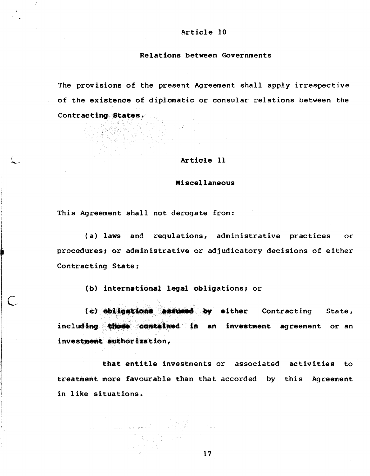# Relations between Governments

The provisions of the present Agreement shall apply irrespective of the existence of diplomatic or consular relations between the Contracting States.

# Article 11

#### Miscellaneous

This Agreement shall not derogate from:

( --

> (a) laws and regulations, administrative practices or procedures; or administrative or adjudicatory decisions of either Contracting State;

(b) international legal obligations; or

(c) obligations assumed by either Contracting State, including those contained including those contained in an investment agreement or an<br>investment authorization,

that entitle investments or associated activities to treatment more favourable than that accorded by this Agreement in like situations.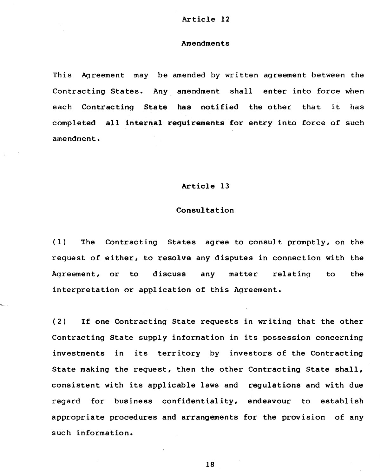#### Amendments

This Agreement may be amended by written agreement between the Contracting States. Any amendment shall enter into force when each Contractinq State has notified the other that it has completed all internal requirements for entry into force of such amendment.

#### Article 13

## Consultation

(1) The Contracting States agree to consult promptly, on the request of either, to resolve any disputes in connection with the Agreement, or to discuss any matter relatinq to the interpretation or application of this Agreement.

(2) If one Contracting State requests in writing that the other Contracting State supply information in its possession concerning investments in its territory by investors of the Contracting State making the request, then the other Contracting State shall, consistent with its applicable laws and regulations and with due regard for business confidentiality, endeavour to establish appropriate procedures and arrangements for the provision of any such information.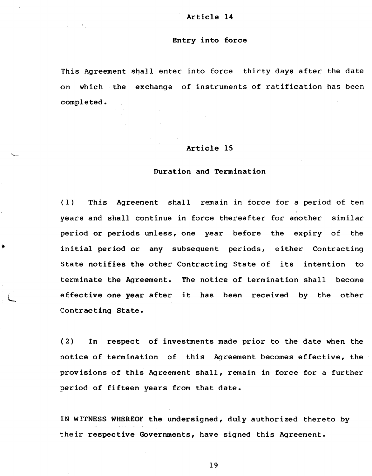## Entry into force

This Agreement shall enter into force thirty days after the date on which the exchange of instruments of ratification has been completed.

## Article 15

## Duration and Termination

(1) This Agreement shall remain in force for a period of ten years and shall continue in force thereafter for another similar period or periods unless, one year before the expiry of the initial period or any subsequent periods, either Contracting State notifies the other Contracting State of its intention to terminate the Agreement. The notice of termination shall become effective one year after it has been received by the other Contracting State.

ĺ.

(2) In respect of investments made prior to the date when the notice of termination of this Agreement becomes effective, the provisions of this Agreement shall, remain in force for a further period of fifteen years from that date.

IN WITNESS WHEREOF the undersigned, duly authorized thereto by their respective Governments, have signed this Agreement.